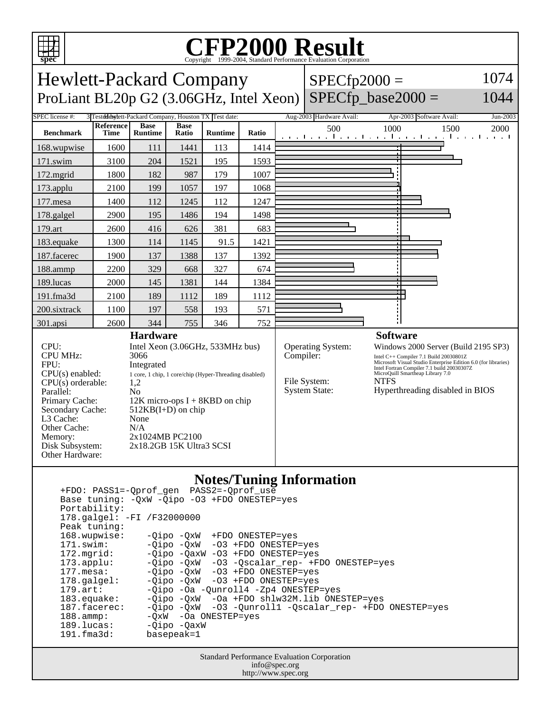

Other Cache: N/A

Other Hardware:

Memory: 2x1024MB PC2100 Disk Subsystem: 2x18.2GB 15K Ultra3 SCSI

## Copyright ©1999-2004, Standard Performance Evaluation Corporation

Hewlett-Packard Company ProLiant BL20p G2  $(3.06$ GHz, Intel Xeon) SPECfp\_base2000 =  $SPECfp2000 =$ 

1074 1044

#### SPEC license #: 3 Tested day tett-Packard Company, Houston TX Test date: Aug-2003 Hardware Avail: Apr-2003 Software Avail: Jun-2003 **Benchmark Reference Time Base Runtime Base Ratio Runtime Ratio** 500 1000 1500 2000 168.wupwise 1600 111 1441 113 1414 171.swim | 3100 | 204 | 1521 | 195 | 1593 172.mgrid | 1800 | 182 | 987 | 179 | 1007 173.applu | 2100 | 199 | 1057 | 197 | 1068 177.mesa | 1400 | 112 | 1245 | 112 | 1247 178.galgel | 2900 | 195 | 1486 | 194 | 1498 179.art | 2600 | 416 | 626 | 381 | 683 183.equake 1300 114 1145 91.5 1421 187.facerec | 1900 | 137 | 1388 | 137 | 1392 188.ammp | 2200 | 329 | 668 | 327 | 674 189.lucas | 2000 | 145 | 1381 | 144 | 1384 191.fma3d | 2100 | 189 | 1112 | 189 | 1112 200.sixtrack 1100 197 558 193 571 301.apsi 2600 344 755 346 752 **Hardware** CPU: Intel Xeon (3.06GHz, 533MHz bus) CPU MHz: 3066 FPU: Integrated CPU(s) enabled: 1 core, 1 chip, 1 core/chip (Hyper-Threading disabled)<br>CPU(s) orderable: 1,2  $CPU(s)$  orderable: Parallel: No Primary Cache: 12K micro-ops I + 8KBD on chip Secondary Cache: 512KB(I+D) on chip L3 Cache: None **Software** Operating System: Windows 2000 Server (Build 2195 SP3) Compiler:<br>
Intel C++ Compiler 7.1 Build 20030801Z<br>
Intel Fortran Compiler 7.1 build 20030307Z<br>
Intel Fortran Compiler 7.1 build 20030307Z MicroQuill Smartheap Library 7.0 File System: NTFS System State: Hyperthreading disabled in BIOS

#### **Notes/Tuning Information**

 +FDO: PASS1=-Qprof\_gen PASS2=-Qprof\_use Base tuning: -QxW -Qipo -O3 +FDO ONESTEP=yes Portability: 178.galgel: -FI /F32000000 Peak tuning: 168.wupwise: -Qipo -QxW +FDO ONESTEP=yes 171.swim: -Qipo -QxW -O3 +FDO ONESTEP=yes 172.mgrid: -Qipo -QaxW -O3 +FDO ONESTEP=yes<br>173.applu: -Qipo -QxW -O3 -Qscalar\_rep- +F 173.applu: -Qipo -QxW -O3 -Qscalar\_rep- +FDO ONESTEP=yes<br>177.mesa: - -Qipo -QxW -O3 +FDO ONESTEP=yes -Qipo -QxW -O3 +FDO ONESTEP=yes 178.galgel: -Qipo -QxW -O3 +FDO ONESTEP=yes 179.art: -Qipo -Oa -Qunroll4 -Zp4 ONESTEP=yes<br>183.equake: -Qipo -QxW -Oa +FDO shlw32M.lib ONE 183.equake: -Qipo -QxW -Oa +FDO shlw32M.lib ONESTEP=yes<br>187.facerec: -Qipo -QxW -O3 -Qunroll1 -Qscalar\_rep- +FDO -03 -Qunroll1 -Qscalar\_rep- +FDO ONESTEP=yes 188.ammp: -QxW -Oa ONESTEP=yes 189.lucas: - Qipo - QaxW 191.fma3d: basepeak=1

> Standard Performance Evaluation Corporation info@spec.org http://www.spec.org